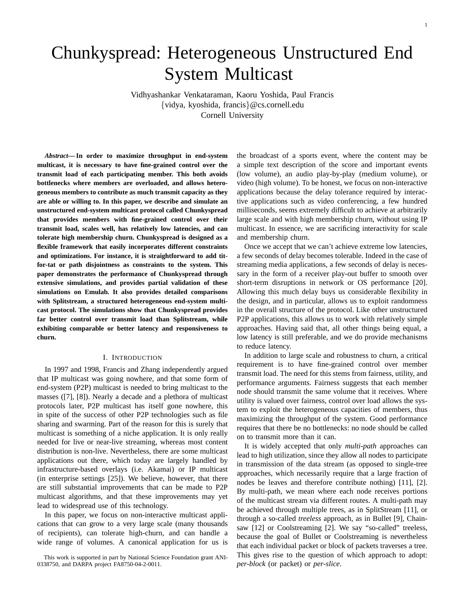# Chunkyspread: Heterogeneous Unstructured End System Multicast

Vidhyashankar Venkataraman, Kaoru Yoshida, Paul Francis {vidya, kyoshida, francis}@cs.cornell.edu Cornell University

*Abstract***— In order to maximize throughput in end-system multicast, it is necessary to have fine-grained control over the transmit load of each participating member. This both avoids bottlenecks where members are overloaded, and allows heterogeneous members to contribute as much transmit capacity as they are able or willing to. In this paper, we describe and simulate an unstructured end-system multicast protocol called Chunkyspread that provides members with fine-grained control over their transmit load, scales well, has relatively low latencies, and can tolerate high membership churn. Chunkyspread is designed as a flexible framework that easily incorporates different constraints and optimizations. For instance, it is straightforward to add titfor-tat or path disjointness as constraints to the system. This paper demonstrates the performance of Chunkyspread through extensive simulations, and provides partial validation of these simulations on Emulab. It also provides detailed comparisons with Splitstream, a structured heterogeneous end-system multicast protocol. The simulations show that Chunkyspread provides far better control over transmit load than Splitstream, while exhibiting comparable or better latency and responsiveness to churn.**

#### I. INTRODUCTION

In 1997 and 1998, Francis and Zhang independently argued that IP multicast was going nowhere, and that some form of end-system (P2P) multicast is needed to bring multicast to the masses ([7], [8]). Nearly a decade and a plethora of multicast protocols later, P2P multicast has itself gone nowhere, this in spite of the success of other P2P technologies such as file sharing and swarming. Part of the reason for this is surely that multicast is something of a niche application. It is only really needed for live or near-live streaming, whereas most content distribution is non-live. Nevertheless, there are some multicast applications out there, which today are largely handled by infrastructure-based overlays (i.e. Akamai) or IP multicast (in enterprise settings [25]). We believe, however, that there are still substantial improvements that can be made to P2P multicast algorithms, and that these improvements may yet lead to widespread use of this technology.

In this paper, we focus on non-interactive multicast applications that can grow to a very large scale (many thousands of recipients), can tolerate high-churn, and can handle a wide range of volumes. A canonical application for us is

This work is supported in part by National Science Foundation grant ANI-0338750, and DARPA project FA8750-04-2-0011.

the broadcast of a sports event, where the content may be a simple text description of the score and important events (low volume), an audio play-by-play (medium volume), or video (high volume). To be honest, we focus on non-interactive applications because the delay tolerance required by interactive applications such as video conferencing, a few hundred milliseconds, seems extremely difficult to achieve at arbitrarily large scale and with high membership churn, without using IP multicast. In essence, we are sacrificing interactivity for scale and membership churn.

Once we accept that we can't achieve extreme low latencies, a few seconds of delay becomes tolerable. Indeed in the case of streaming media applications, a few seconds of delay is necessary in the form of a receiver play-out buffer to smooth over short-term disruptions in network or OS performance [20]. Allowing this much delay buys us considerable flexibility in the design, and in particular, allows us to exploit randomness in the overall structure of the protocol. Like other unstructured P2P applications, this allows us to work with relatively simple approaches. Having said that, all other things being equal, a low latency is still preferable, and we do provide mechanisms to reduce latency.

In addition to large scale and robustness to churn, a critical requirement is to have fine-grained control over member transmit load. The need for this stems from fairness, utility, and performance arguments. Fairness suggests that each member node should transmit the same volume that it receives. Where utility is valued over fairness, control over load allows the system to exploit the heterogeneous capacities of members, thus maximizing the throughput of the system. Good performance requires that there be no bottlenecks: no node should be called on to transmit more than it can.

It is widely accepted that only *multi-path* approaches can lead to high utilization, since they allow all nodes to participate in transmission of the data stream (as opposed to single-tree approaches, which necessarily require that a large fraction of nodes be leaves and therefore contribute nothing) [11], [2]. By multi-path, we mean where each node receives portions of the multicast stream via different routes. A multi-path may be achieved through multiple trees, as in SplitStream [11], or through a so-called *treeless* approach, as in Bullet [9], Chainsaw [12] or Coolstreaming [2]. We say "so-called" treeless, because the goal of Bullet or Coolstreaming is nevertheless that each individual packet or block of packets traverses a tree. This gives rise to the question of which approach to adopt: *per-block* (or packet) or *per-slice*.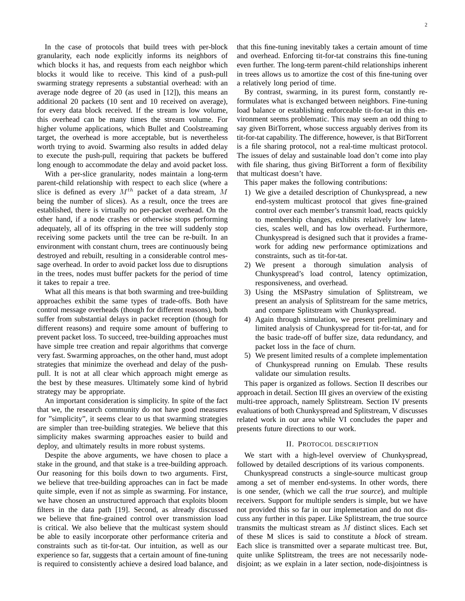In the case of protocols that build trees with per-block granularity, each node explicitly informs its neighbors of which blocks it has, and requests from each neighbor which blocks it would like to receive. This kind of a push-pull swarming strategy represents a substantial overhead: with an average node degree of 20 (as used in [12]), this means an additional 20 packets (10 sent and 10 received on average), for every data block received. If the stream is low volume, this overhead can be many times the stream volume. For higher volume applications, which Bullet and Coolstreaming target, the overhead is more acceptable, but is nevertheless worth trying to avoid. Swarming also results in added delay to execute the push-pull, requiring that packets be buffered long enough to accommodate the delay and avoid packet loss.

With a per-slice granularity, nodes maintain a long-term parent-child relationship with respect to each slice (where a slice is defined as every  $M^{th}$  packet of a data stream, M being the number of slices). As a result, once the trees are established, there is virtually no per-packet overhead. On the other hand, if a node crashes or otherwise stops performing adequately, all of its offspring in the tree will suddenly stop receiving some packets until the tree can be re-built. In an environment with constant churn, trees are continuously being destroyed and rebuilt, resulting in a considerable control message overhead. In order to avoid packet loss due to disruptions in the trees, nodes must buffer packets for the period of time it takes to repair a tree.

What all this means is that both swarming and tree-building approaches exhibit the same types of trade-offs. Both have control message overheads (though for different reasons), both suffer from substantial delays in packet reception (though for different reasons) and require some amount of buffering to prevent packet loss. To succeed, tree-building approaches must have simple tree creation and repair algorithms that converge very fast. Swarming approaches, on the other hand, must adopt strategies that minimize the overhead and delay of the pushpull. It is not at all clear which approach might emerge as the best by these measures. Ultimately some kind of hybrid strategy may be appropriate.

An important consideration is simplicity. In spite of the fact that we, the research community do not have good measures for "simplicity", it seems clear to us that swarming strategies are simpler than tree-building strategies. We believe that this simplicity makes swarming approaches easier to build and deploy, and ultimately results in more robust systems.

Despite the above arguments, we have chosen to place a stake in the ground, and that stake is a tree-building approach. Our reasoning for this boils down to two arguments. First, we believe that tree-building approaches can in fact be made quite simple, even if not as simple as swarming. For instance, we have chosen an unstructured approach that exploits bloom filters in the data path [19]. Second, as already discussed we believe that fine-grained control over transmission load is critical. We also believe that the multicast system should be able to easily incorporate other performance criteria and constraints such as tit-for-tat. Our intuition, as well as our experience so far, suggests that a certain amount of fine-tuning is required to consistently achieve a desired load balance, and that this fine-tuning inevitably takes a certain amount of time and overhead. Enforcing tit-for-tat constrains this fine-tuning even further. The long-term parent-child relationships inherent in trees allows us to amortize the cost of this fine-tuning over a relatively long period of time.

By contrast, swarming, in its purest form, constantly reformulates what is exchanged between neighbors. Fine-tuning load balance or establishing enforceable tit-for-tat in this environment seems problematic. This may seem an odd thing to say given BitTorrent, whose success arguably derives from its tit-for-tat capability. The difference, however, is that BitTorrent is a file sharing protocol, not a real-time multicast protocol. The issues of delay and sustainable load don't come into play with file sharing, thus giving BitTorrent a form of flexibility that multicast doesn't have.

This paper makes the following contributions:

- 1) We give a detailed description of Chunkyspread, a new end-system multicast protocol that gives fine-grained control over each member's transmit load, reacts quickly to membership changes, exhibits relatively low latencies, scales well, and has low overhead. Furthermore, Chunkyspread is designed such that it provides a framework for adding new performance optimizations and constraints, such as tit-for-tat.
- 2) We present a thorough simulation analysis of Chunkyspread's load control, latency optimization, responsiveness, and overhead.
- 3) Using the MSPastry simulation of Splitstream, we present an analysis of Splitstream for the same metrics, and compare Splitstream with Chunkyspread.
- 4) Again through simulation, we present preliminary and limited analysis of Chunkyspread for tit-for-tat, and for the basic trade-off of buffer size, data redundancy, and packet loss in the face of churn.
- 5) We present limited results of a complete implementation of Chunkyspread running on Emulab. These results validate our simulation results.

This paper is organized as follows. Section II describes our approach in detail. Section III gives an overview of the existing multi-tree approach, namely Splitstream. Section IV presents evaluations of both Chunkyspread and Splitstream, V discusses related work in our area while VI concludes the paper and presents future directions to our work.

#### II. PROTOCOL DESCRIPTION

We start with a high-level overview of Chunkyspread, followed by detailed descriptions of its various components.

Chunkyspread constructs a single-source multicast group among a set of member end-systems. In other words, there is one sender, (which we call the *true source*), and multiple receivers. Support for multiple senders is simple, but we have not provided this so far in our implemetation and do not discuss any further in this paper. Like Splitstream, the true source transmits the multicast stream as M distinct slices. Each set of these M slices is said to constitute a *block* of stream. Each slice is transmitted over a separate multicast tree. But, quite unlike Splitstream, the trees are not necessarily nodedisjoint; as we explain in a later section, node-disjointness is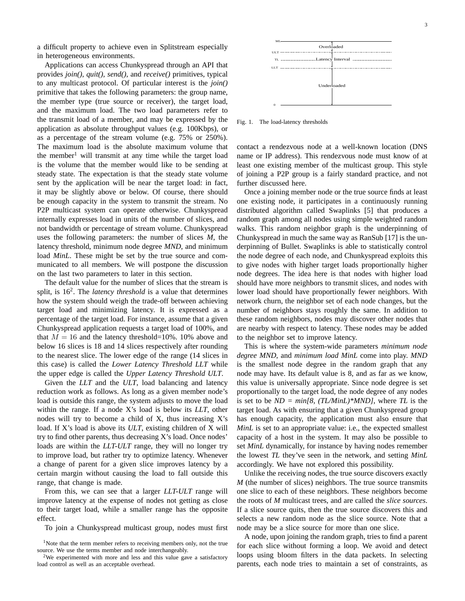a difficult property to achieve even in Splitstream especially in heterogeneous environments.

Applications can access Chunkyspread through an API that provides *join()*, *quit()*, *send()*, and *receive()* primitives, typical to any multicast protocol. Of particular interest is the *join()* primitive that takes the following parameters: the group name, the member type (true source or receiver), the target load, and the maximum load. The two load parameters refer to the transmit load of a member, and may be expressed by the application as absolute throughput values (e.g. 100Kbps), or as a percentage of the stream volume (e.g. 75% or 250%). The maximum load is the absolute maximum volume that the member<sup>1</sup> will transmit at any time while the target load is the volume that the member would like to be sending at steady state. The expectation is that the steady state volume sent by the application will be near the target load: in fact, it may be slightly above or below. Of course, there should be enough capacity in the system to transmit the stream. No P2P multicast system can operate otherwise. Chunkyspread internally expresses load in units of the number of slices, and not bandwidth or percentage of stream volume. Chunkyspread uses the following parameters: the number of slices *M*, the latency threshold, minimum node degree *MND*, and minimum load *MinL*. These might be set by the true source and communicated to all members. We will postpone the discussion on the last two parameters to later in this section.

The default value for the number of slices that the stream is split, is 16<sup>2</sup>. The *latency threshold* is a value that determines how the system should weigh the trade-off between achieving target load and minimizing latency. It is expressed as a percentage of the target load. For instance, assume that a given Chunkyspread application requests a target load of 100%, and that  $M = 16$  and the latency threshold=10%. 10% above and below 16 slices is 18 and 14 slices respectively after rounding to the nearest slice. The lower edge of the range (14 slices in this case) is called the *Lower Latency Threshold LLT* while the upper edge is called the *Upper Latency Threshold ULT*.

Given the *LLT* and the *ULT*, load balancing and latency reduction work as follows. As long as a given member node's load is outside this range, the system adjusts to move the load within the range. If a node X's load is below its *LLT*, other nodes will try to become a child of X, thus increasing X's load. If X's load is above its *ULT*, existing children of X will try to find other parents, thus decreasing X's load. Once nodes' loads are within the *LLT-ULT* range, they will no longer try to improve load, but rather try to optimize latency. Whenever a change of parent for a given slice improves latency by a certain margin without causing the load to fall outside this range, that change is made.

From this, we can see that a larger *LLT-ULT* range will improve latency at the expense of nodes not getting as close to their target load, while a smaller range has the opposite effect.

To join a Chunkyspread multicast group, nodes must first



Fig. 1. The load-latency thresholds

contact a rendezvous node at a well-known location (DNS name or IP address). This rendezvous node must know of at least one existing member of the multicast group. This style of joining a P2P group is a fairly standard practice, and not further discussed here.

Once a joining member node or the true source finds at least one existing node, it participates in a continuously running distributed algorithm called Swaplinks [5] that produces a random graph among all nodes using simple weighted random walks. This random neighbor graph is the underpinning of Chunkyspread in much the same way as RanSub [17] is the underpinning of Bullet. Swaplinks is able to statistically control the node degree of each node, and Chunkyspread exploits this to give nodes with higher target loads proportionally higher node degrees. The idea here is that nodes with higher load should have more neighbors to transmit slices, and nodes with lower load should have proportionally fewer neighbors. With network churn, the neighbor set of each node changes, but the number of neighbors stays roughly the same. In addition to these random neighbors, nodes may discover other nodes that are nearby with respect to latency. These nodes may be added to the neighbor set to improve latency.

This is where the system-wide parameters *minimum node degree MND*, and *minimum load MinL* come into play. *MND* is the smallest node degree in the random graph that any node may have. Its default value is 8, and as far as we know, this value is universally appropriate. Since node degree is set proportionally to the target load, the node degree of any nodes is set to be *ND = min[8, (TL/MinL)\*MND]*, where *TL* is the target load. As with ensuring that a given Chunkyspread group has enough capacity, the application must also ensure that *MinL* is set to an appropriate value: i.e., the expected smallest capacity of a host in the system. It may also be possible to set *MinL* dynamically, for instance by having nodes remember the lowest *TL* they've seen in the network, and setting *MinL* accordingly. We have not explored this possibility.

Unlike the receiving nodes, the true source discovers exactly *M* (the number of slices) neighbors. The true source transmits one slice to each of these neighbors. These neighbors become the roots of *M* multicast trees, and are called the *slice sources*. If a slice source quits, then the true source discovers this and selects a new random node as the slice source. Note that a node may be a slice source for more than one slice.

A node, upon joining the random graph, tries to find a parent for each slice without forming a loop. We avoid and detect loops using bloom filters in the data packets. In selecting parents, each node tries to maintain a set of constraints, as

<sup>&</sup>lt;sup>1</sup>Note that the term member refers to receiving members only, not the true source. We use the terms member and node interchangeably.

<sup>&</sup>lt;sup>2</sup>We experimented with more and less and this value gave a satisfactory load control as well as an acceptable overhead.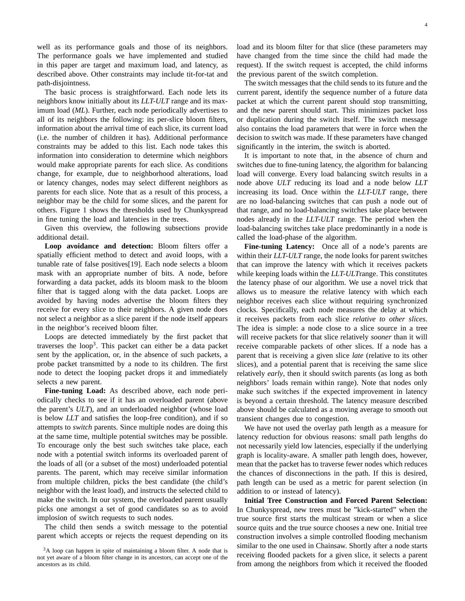well as its performance goals and those of its neighbors. The performance goals we have implemented and studied in this paper are target and maximum load, and latency, as described above. Other constraints may include tit-for-tat and path-disjointness.

The basic process is straightforward. Each node lets its neighbors know initially about its *LLT-ULT* range and its maximum load (*ML*). Further, each node periodically advertises to all of its neighbors the following: its per-slice bloom filters, information about the arrival time of each slice, its current load (i.e. the number of children it has). Additional performance constraints may be added to this list. Each node takes this information into consideration to determine which neighbors would make appropriate parents for each slice. As conditions change, for example, due to neighborhood alterations, load or latency changes, nodes may select different neighbors as parents for each slice. Note that as a result of this process, a neighbor may be the child for some slices, and the parent for others. Figure 1 shows the thresholds used by Chunkyspread in fine tuning the load and latencies in the trees.

Given this overview, the following subsections provide additional detail.

**Loop avoidance and detection:** Bloom filters offer a spatially efficient method to detect and avoid loops, with a tunable rate of false positives[19]. Each node selects a bloom mask with an appropriate number of bits. A node, before forwarding a data packet, adds its bloom mask to the bloom filter that is tagged along with the data packet. Loops are avoided by having nodes advertise the bloom filters they receive for every slice to their neighbors. A given node does not select a neighbor as a slice parent if the node itself appears in the neighbor's received bloom filter.

Loops are detected immediately by the first packet that traverses the  $loop<sup>3</sup>$ . This packet can either be a data packet sent by the application, or, in the absence of such packets, a probe packet transmitted by a node to its children. The first node to detect the looping packet drops it and immediately selects a new parent.

**Fine-tuning Load:** As described above, each node periodically checks to see if it has an overloaded parent (above the parent's *ULT*), and an underloaded neighbor (whose load is below *LLT* and satisfies the loop-free condition), and if so attempts to *switch* parents. Since multiple nodes are doing this at the same time, multiple potential switches may be possible. To encourage only the best such switches take place, each node with a potential switch informs its overloaded parent of the loads of all (or a subset of the most) underloaded potential parents. The parent, which may receive similar information from multiple children, picks the best candidate (the child's neighbor with the least load), and instructs the selected child to make the switch. In our system, the overloaded parent usually picks one amongst a set of good candidates so as to avoid implosion of switch requests to such nodes.

The child then sends a switch message to the potential parent which accepts or rejects the request depending on its load and its bloom filter for that slice (these parameters may have changed from the time since the child had made the request). If the switch request is accepted, the child informs the previous parent of the switch completion.

The switch messages that the child sends to its future and the current parent, identify the sequence number of a future data packet at which the current parent should stop transmitting, and the new parent should start. This minimizes packet loss or duplication during the switch itself. The switch message also contains the load parameters that were in force when the decision to switch was made. If these parameters have changed significantly in the interim, the switch is aborted.

It is important to note that, in the absence of churn and switches due to fine-tuning latency, the algorithm for balancing load will converge. Every load balancing switch results in a node above *ULT* reducing its load and a node below *LLT* increasing its load. Once within the *LLT-ULT* range, there are no load-balancing switches that can push a node out of that range, and no load-balancing switches take place between nodes already in the *LLT-ULT* range. The period when the load-balancing switches take place predominantly in a node is called the load-phase of the algorithm.

**Fine-tuning Latency:** Once all of a node's parents are within their *LLT-ULT* range, the node looks for parent switches that can improve the latency with which it receives packets while keeping loads within the *LLT-ULT*range. This constitutes the latency phase of our algorithm. We use a novel trick that allows us to measure the relative latency with which each neighbor receives each slice without requiring synchronized clocks. Specifically, each node measures the delay at which it receives packets from each slice *relative to other slices*. The idea is simple: a node close to a slice source in a tree will receive packets for that slice relatively *sooner* than it will receive comparable packets of other slices. If a node has a parent that is receiving a given slice *late* (relative to its other slices), and a potential parent that is receiving the same slice relatively *early*, then it should switch parents (as long as both neighbors' loads remain within range). Note that nodes only make such switches if the expected improvement in latency is beyond a certain threshold. The latency measure described above should be calculated as a moving average to smooth out transient changes due to congestion.

We have not used the overlay path length as a measure for latency reduction for obvious reasons: small path lengths do not necessarily yield low latencies, especially if the underlying graph is locality-aware. A smaller path length does, however, mean that the packet has to traverse fewer nodes which reduces the chances of disconnections in the path. If this is desired, path length can be used as a metric for parent selection (in addition to or instead of latency).

**Initial Tree Construction and Forced Parent Selection:** In Chunkyspread, new trees must be "kick-started" when the true source first starts the multicast stream or when a slice source quits and the true source chooses a new one. Initial tree construction involves a simple controlled flooding mechanism similar to the one used in Chainsaw. Shortly after a node starts receiving flooded packets for a given slice, it selects a parent from among the neighbors from which it received the flooded

<sup>&</sup>lt;sup>3</sup>A loop can happen in spite of maintaining a bloom filter. A node that is not yet aware of a bloom filter change in its ancestors, can accept one of the ancestors as its child.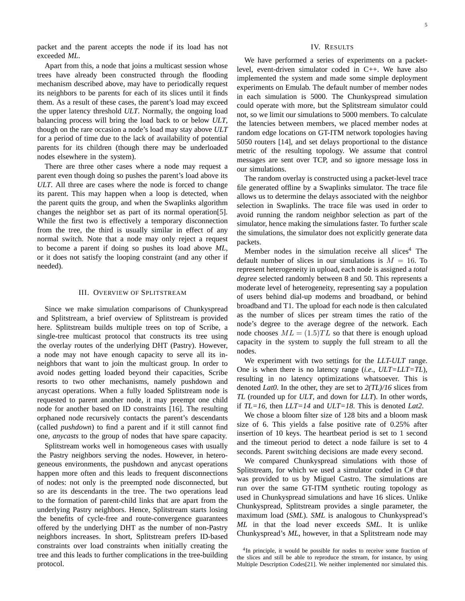packet and the parent accepts the node if its load has not exceeded *ML*.

Apart from this, a node that joins a multicast session whose trees have already been constructed through the flooding mechanism described above, may have to periodically request its neighbors to be parents for each of its slices until it finds them. As a result of these cases, the parent's load may exceed the upper latency threshold *ULT*. Normally, the ongoing load balancing process will bring the load back to or below *ULT*, though on the rare occasion a node's load may stay above *ULT* for a period of time due to the lack of availability of potential parents for its children (though there may be underloaded nodes elsewhere in the system).

There are three other cases where a node may request a parent even though doing so pushes the parent's load above its *ULT*. All three are cases where the node is forced to change its parent. This may happen when a loop is detected, when the parent quits the group, and when the Swaplinks algorithm changes the neighbor set as part of its normal operation[5]. While the first two is effectively a temporary disconnection from the tree, the third is usually similar in effect of any normal switch. Note that a node may only reject a request to become a parent if doing so pushes its load above *ML*, or it does not satisfy the looping constraint (and any other if needed).

## III. OVERVIEW OF SPLITSTREAM

Since we make simulation comparisons of Chunkyspread and Splitstream, a brief overview of Splitstream is provided here. Splitstream builds multiple trees on top of Scribe, a single-tree multicast protocol that constructs its tree using the overlay routes of the underlying DHT (Pastry). However, a node may not have enough capacity to serve all its inneighbors that want to join the multicast group. In order to avoid nodes getting loaded beyond their capacities, Scribe resorts to two other mechanisms, namely pushdown and anycast operations. When a fully loaded Splitstream node is requested to parent another node, it may preempt one child node for another based on ID constraints [16]. The resulting orphaned node recursively contacts the parent's descendants (called *pushdown*) to find a parent and if it still cannot find one, *anycasts* to the group of nodes that have spare capacity.

Splitstream works well in homogeneous cases with usually the Pastry neighbors serving the nodes. However, in heterogeneous environments, the pushdown and anycast operations happen more often and this leads to frequent disconnections of nodes: not only is the preempted node disconnected, but so are its descendants in the tree. The two operations lead to the formation of parent-child links that are apart from the underlying Pastry neighbors. Hence, Splitstream starts losing the benefits of cycle-free and route-convergence guarantees offered by the underlying DHT as the number of non-Pastry neighbors increases. In short, Splitstream prefers ID-based constraints over load constraints when initially creating the tree and this leads to further complications in the tree-building protocol.

## IV. RESULTS

We have performed a series of experiments on a packetlevel, event-driven simulator coded in C++. We have also implemented the system and made some simple deployment experiments on Emulab. The default number of member nodes in each simulation is 5000. The Chunkyspread simulation could operate with more, but the Splitstream simulator could not, so we limit our simulations to 5000 members. To calculate the latencies between members, we placed member nodes at random edge locations on GT-ITM network topologies having 5050 routers [14], and set delays proportional to the distance metric of the resulting topology. We assume that control messages are sent over TCP, and so ignore message loss in our simulations.

The random overlay is constructed using a packet-level trace file generated offline by a Swaplinks simulator. The trace file allows us to determine the delays associated with the neighbor selection in Swaplinks. The trace file was used in order to avoid running the random neighbor selection as part of the simulator, hence making the simulations faster. To further scale the simulations, the simulator does not explicitly generate data packets.

Member nodes in the simulation receive all slices<sup>4</sup> The default number of slices in our simulations is  $M = 16$ . To represent heterogeneity in upload, each node is assigned a *total degree* selected randomly between 8 and 50. This represents a moderate level of heterogeneity, representing say a population of users behind dial-up modems and broadband, or behind broadband and T1. The upload for each node is then calculated as the number of slices per stream times the ratio of the node's degree to the average degree of the network. Each node chooses  $ML = (1.5)TL$  so that there is enough upload capacity in the system to supply the full stream to all the nodes.

We experiment with two settings for the *LLT-ULT* range. One is when there is no latency range (*i.e., ULT=LLT=TL*), resulting in no latency optimizations whatsoever. This is denoted *Lat0*. In the other, they are set to *2(TL)/16* slices from *TL* (rounded up for *ULT*, and down for *LLT*). In other words, if *TL=16*, then *LLT=14* and *ULT=18*. This is denoted *Lat2*.

We chose a bloom filter size of 128 bits and a bloom mask size of 6. This yields a false positive rate of 0.25% after insertion of 10 keys. The heartbeat period is set to 1 second and the timeout period to detect a node failure is set to 4 seconds. Parent switching decisions are made every second.

We compared Chunkyspread simulations with those of Splitstream, for which we used a simulator coded in C# that was provided to us by Miguel Castro. The simulations are run over the same GT-ITM synthetic routing topology as used in Chunkyspread simulations and have 16 slices. Unlike Chunkyspread, Splitstream provides a single parameter, the maximum load (*SML*). *SML* is analogous to Chunkyspread's *ML* in that the load never exceeds *SML*. It is unlike Chunkyspread's *ML*, however, in that a Splitstream node may

<sup>&</sup>lt;sup>4</sup>In principle, it would be possible for nodes to receive some fraction of the slices and still be able to reproduce the stream, for instance, by using Multiple Description Codes[21]. We neither implemented nor simulated this.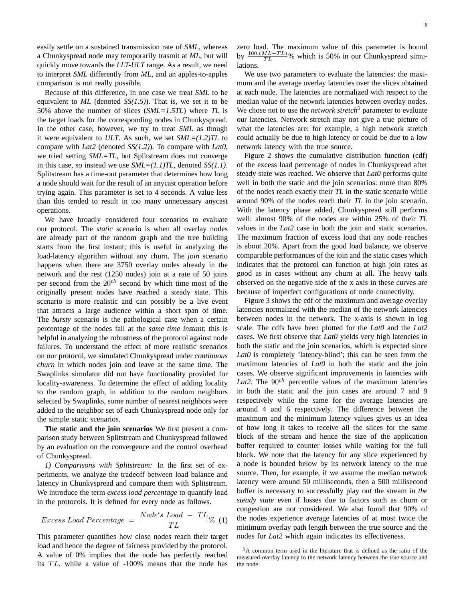easily settle on a sustained transmission rate of *SML*, whereas a Chunkyspread node may temporarily trasmit at *ML*, but will quickly move towards the *LLT-ULT* range. As a result, we need to interpret *SML* differently from *ML*, and an apples-to-apples comparison is not really possible.

Because of this difference, in one case we treat *SML* to be equivalent to *ML* (denoted *SS(1.5)*). That is, we set it to be 50% above the number of slices (*SML=1.5TL*) where *TL* is the target loads for the corresponding nodes in Chunkyspread. In the other case, however, we try to treat *SML* as though it were equivalent to *ULT*. As such, we set *SML=(1.2)TL* to compare with *Lat2* (denoted *SS(1.2)*). To compare with *Lat0*, we tried setting *SML=TL*, but Splitstream does not converge in this case, so instead we use *SML=(1.1)TL*, denoted *SS(1.1)*. Splitstream has a time-out parameter that determines how long a node should wait for the result of an anycast operation before trying again. This parameter is set to 4 seconds. A value less than this tended to result in too many unnecessary anycast operations.

We have broadly considered four scenarios to evaluate our protocol. The *static* scenario is when all overlay nodes are already part of the random graph and the tree building starts from the first instant; this is useful in analyzing the load-latency algorithm without any churn. The *join* scenario happens when there are 3750 overlay nodes already in the network and the rest (1250 nodes) join at a rate of 50 joins per second from the  $20^{th}$  second by which time most of the originally present nodes have reached a steady state. This scenario is more realistic and can possibly be a live event that attracts a large audience within a short span of time. The *bursty* scenario is the pathological case when a certain percentage of the nodes fail at the *same time instant*; this is helpful in analyzing the robustness of the protocol against node failures. To understand the effect of more realistic scenarios on our protocol, we simulated Chunkyspread under *continuous churn* in which nodes join and leave at the same time. The Swaplinks simulator did not have functionality provided for locality-awareness. To determine the effect of adding locality to the random graph, in addition to the random neighbors selected by Swaplinks, some number of nearest neighbors were added to the neighbor set of each Chunkyspread node only for the simple static scenarios.

**The static and the join scenarios** We first present a comparison study between Splitstream and Chunkyspread followed by an evaluation on the convergence and the control overhead of Chunkyspread.

*1) Comparisons with Splitstream:* In the first set of experiments, we analyze the tradeoff between load balance and latency in Chunkyspread and compare them with Splitstream. We introduce the term *excess load percentage* to quantify load in the protocols. It is defined for every node as follows.

$$
Excess\; Load\; Percentage\;=\;\frac{Node's\; Load\; -\; TL}{TL}\% \;\;(1)
$$

This parameter quantifies how close nodes reach their target load and hence the degree of fairness provided by the protocol. A value of 0% implies that the node has perfectly reached its  $TL$ , while a value of  $-100\%$  means that the node has

zero load. The maximum value of this parameter is bound by  $\frac{100.(ML-TL)}{TL}$ % which is 50% in our Chunkyspread simulations.

We use two parameters to evaluate the latencies: the maximum and the average overlay latencies over the slices obtained at each node. The latencies are normalized with respect to the median value of the network latencies between overlay nodes. We chose not to use the *network stretch*<sup>5</sup> parameter to evaluate our latencies. Network stretch may not give a true picture of what the latencies are: for example, a high network stretch could actually be due to high latency or could be due to a low network latency with the true source.

Figure 2 shows the cumulative distribution function (cdf) of the excess load percentage of nodes in Chunkyspread after steady state was reached. We observe that *Lat0* performs quite well in both the static and the join scenarios: more than 80% of the nodes reach exactly their *TL* in the static scenario while around 90% of the nodes reach their *TL* in the join scenario. With the latency phase added, Chunkyspread still performs well: almost 90% of the nodes are within 25% of their *TL* values in the *Lat2* case in both the join and static scenarios. The maximum fraction of excess load that any node reaches is about 20%. Apart from the good load balance, we observe comparable performances of the join and the static cases which indicates that the protocol can function at high join rates as good as in cases without any churn at all. The heavy tails observed on the negative side of the x axis in these curves are because of imperfect configurations of node connectivity.

Figure 3 shows the cdf of the maximum and average overlay latencies normalized with the median of the network latencies between nodes in the network. The x-axis is shown in log scale. The cdfs have been plotted for the *Lat0* and the *Lat2* cases. We first observe that *Lat0* yields very high latencies in both the static and the join scenarios, which is expected since *Lat0* is completely 'latency-blind'; this can be seen from the maximum latencies of *Lat0* in both the static and the join cases. We observe significant improvements in latencies with *Lat2*. The  $90<sup>th</sup>$  percentile values of the maximum latencies in both the static and the join cases are around 7 and 9 respectively while the same for the average latencies are around 4 and 6 respectively. The difference between the maximum and the minimum latency values gives us an idea of how long it takes to receive all the slices for the same block of the stream and hence the size of the application buffer required to counter losses while waiting for the full block. We note that the latency for any slice experienced by a node is bounded below by its network latency to the true source. Then, for example, if we assume the median network latency were around 50 milliseconds, then a 500 millisecond buffer is necessary to successfully play out the stream *in the steady state* even if losses due to factors such as churn or congestion are not considered. We also found that 90% of the nodes experience average latencies of at most twice the minimum overlay path length between the true source and the nodes for *Lat2* which again indicates its effectiveness.

<sup>5</sup>A common term used in the literature that is defined as the ratio of the measured overlay latency to the network latency between the true source and the node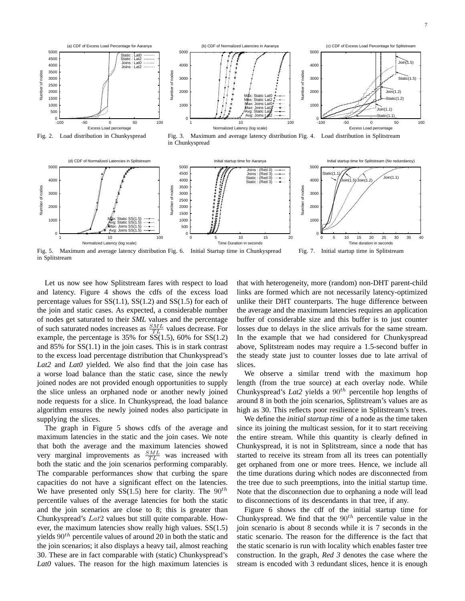



Fig. 5. Maximum and average latency distribution Fig. 6. Initial Startup time in Chunkyspread in Splitstream Fig. 7. Initial startup time in Splitstream

Let us now see how Splitstream fares with respect to load and latency. Figure 4 shows the cdfs of the excess load percentage values for  $SS(1.1)$ ,  $SS(1.2)$  and  $SS(1.5)$  for each of the join and static cases. As expected, a considerable number of nodes get saturated to their *SML* values and the percentage of such saturated nodes increases as  $\frac{SML}{TL}$  values decrease. For example, the percentage is 35% for  $\overline{SS(1.5)}$ , 60% for  $SS(1.2)$ and 85% for SS(1.1) in the join cases. This is in stark contrast to the excess load percentage distribution that Chunkyspread's *Lat2* and *Lat0* yielded. We also find that the join case has a worse load balance than the static case, since the newly joined nodes are not provided enough opportunities to supply the slice unless an orphaned node or another newly joined node requests for a slice. In Chunkyspread, the load balance algorithm ensures the newly joined nodes also participate in supplying the slices.

The graph in Figure 5 shows cdfs of the average and maximum latencies in the static and the join cases. We note that both the average and the maximum latencies showed very marginal improvements as  $\frac{SML}{TL}$  was increased with both the static and the join scenarios performing comparably. The comparable performances show that curbing the spare capacities do not have a significant effect on the latencies. We have presented only SS(1.5) here for clarity. The  $90^{th}$ percentile values of the average latencies for both the static and the join scenarios are close to 8; this is greater than Chunkyspread's Lat2 values but still quite comparable. However, the maximum latencies show really high values. SS(1.5) yields  $90<sup>th</sup>$  percentile values of around 20 in both the static and the join scenarios; it also displays a heavy tail, almost reaching 30. These are in fact comparable with (static) Chunkyspread's *Lat0* values. The reason for the high maximum latencies is that with heterogeneity, more (random) non-DHT parent-child links are formed which are not necessarily latency-optimized unlike their DHT counterparts. The huge difference between the average and the maximum latencies requires an application buffer of considerable size and this buffer is to just counter losses due to delays in the slice arrivals for the same stream. In the example that we had considered for Chunkyspread above, Splitstream nodes may require a 1.5-second buffer in the steady state just to counter losses due to late arrival of slices.

We observe a similar trend with the maximum hop length (from the true source) at each overlay node. While Chunkyspread's *Lat*2 yields a  $90<sup>th</sup>$  percentile hop lengths of around 8 in both the join scenarios, Splitstream's values are as high as 30. This reflects poor resilience in Splitstream's trees.

We define the *initial startup time* of a node as the time taken since its joining the multicast session, for it to start receiving the entire stream. While this quantity is clearly defined in Chunkyspread, it is not in Splitstream, since a node that has started to receive its stream from all its trees can potentially get orphaned from one or more trees. Hence, we include all the time durations during which nodes are disconnected from the tree due to such preemptions, into the initial startup time. Note that the disconnection due to orphaning a node will lead to disconnections of its descendants in that tree, if any.

Figure 6 shows the cdf of the initial startup time for Chunkyspread. We find that the  $90<sup>th</sup>$  percentile value in the join scenario is about 8 seconds while it is 7 seconds in the static scenario. The reason for the difference is the fact that the static scenario is run with locality which enables faster tree construction. In the graph, *Red 3* denotes the case where the stream is encoded with 3 redundant slices, hence it is enough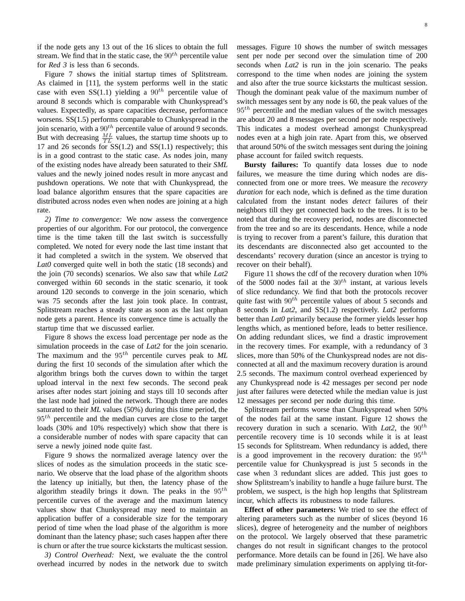if the node gets any 13 out of the 16 slices to obtain the full stream. We find that in the static case, the  $90<sup>th</sup>$  percentile value for *Red 3* is less than 6 seconds.

Figure 7 shows the initial startup times of Splitstream. As claimed in [11], the system performs well in the static case with even SS(1.1) yielding a  $90^{th}$  percentile value of around 8 seconds which is comparable with Chunkyspread's values. Expectedly, as spare capacities decrease, performance worsens. SS(1.5) performs comparable to Chunkyspread in the join scenario, with a  $90<sup>th</sup>$  percentile value of around 9 seconds. But with decreasing  $\frac{ML}{TL}$  values, the startup time shoots up to 17 and 26 seconds for  $SS(1.2)$  and  $SS(1.1)$  respectively; this is in a good contrast to the static case. As nodes join, many of the existing nodes have already been saturated to their *SML* values and the newly joined nodes result in more anycast and pushdown operations. We note that with Chunkyspread, the load balance algorithm ensures that the spare capacities are distributed across nodes even when nodes are joining at a high rate.

*2) Time to convergence:* We now assess the convergence properties of our algorithm. For our protocol, the convergence time is the time taken till the last switch is successfully completed. We noted for every node the last time instant that it had completed a switch in the system. We observed that *Lat0* converged quite well in both the static (18 seconds) and the join (70 seconds) scenarios. We also saw that while *Lat2* converged within 60 seconds in the static scenario, it took around 120 seconds to converge in the join scenario, which was 75 seconds after the last join took place. In contrast, Splitstream reaches a steady state as soon as the last orphan node gets a parent. Hence its convergence time is actually the startup time that we discussed earlier.

Figure 8 shows the excess load percentage per node as the simulation proceeds in the case of *Lat2* for the join scenario. The maximum and the  $95<sup>th</sup>$  percentile curves peak to  $ML$ during the first 10 seconds of the simulation after which the algorithm brings both the curves down to within the target upload interval in the next few seconds. The second peak arises after nodes start joining and stays till 10 seconds after the last node had joined the network. Though there are nodes saturated to their *ML* values (50%) during this time period, the  $95<sup>th</sup>$  percentile and the median curves are close to the target loads (30% and 10% respectively) which show that there is a considerable number of nodes with spare capacity that can serve a newly joined node quite fast.

Figure 9 shows the normalized average latency over the slices of nodes as the simulation proceeds in the static scenario. We observe that the load phase of the algorithm shoots the latency up initially, but then, the latency phase of the algorithm steadily brings it down. The peaks in the  $95<sup>th</sup>$ percentile curves of the average and the maximum latency values show that Chunkyspread may need to maintain an application buffer of a considerable size for the temporary period of time when the load phase of the algorithm is more dominant than the latency phase; such cases happen after there is churn or after the true source kickstarts the multicast session.

*3) Control Overhead:* Next, we evaluate the the control overhead incurred by nodes in the network due to switch messages. Figure 10 shows the number of switch messages sent per node per second over the simulation time of 200 seconds when *Lat2* is run in the join scenario. The peaks correspond to the time when nodes are joining the system and also after the true source kickstarts the multicast session. Though the dominant peak value of the maximum number of switch messages sent by any node is 60, the peak values of the  $95<sup>th</sup>$  percentile and the median values of the switch messages are about 20 and 8 messages per second per node respectively. This indicates a modest overhead amongst Chunkyspread nodes even at a high join rate. Apart from this, we observed that around 50% of the switch messages sent during the joining phase account for failed switch requests.

**Bursty failures:** To quantify data losses due to node failures, we measure the time during which nodes are disconnected from one or more trees. We measure the *recovery duration* for each node, which is defined as the time duration calculated from the instant nodes *detect* failures of their neighbors till they get connected back to the trees. It is to be noted that during the recovery period, nodes are disconnected from the tree and so are its descendants. Hence, while a node is trying to recover from a parent's failure, this duration that its descendants are disconnected also get accounted to the descendants' recovery duration (since an ancestor is trying to recover on their behalf).

Figure 11 shows the cdf of the recovery duration when 10% of the 5000 nodes fail at the  $30<sup>th</sup>$  instant, at various levels of slice redundancy. We find that both the protocols recover quite fast with  $90<sup>th</sup>$  percentile values of about 5 seconds and 8 seconds in *Lat2*, and SS(1.2) respectively. *Lat2* performs better than *Lat0* primarily because the former yields lesser hop lengths which, as mentioned before, leads to better resilience. On adding redundant slices, we find a drastic improvement in the recovery times. For example, with a redundancy of 3 slices, more than 50% of the Chunkyspread nodes are not disconnected at all and the maximum recovery duration is around 2.5 seconds. The maximum control overhead experienced by any Chunkyspread node is 42 messages per second per node just after failures were detected while the median value is just 12 messages per second per node during this time.

Splitstream performs worse than Chunkyspread when 50% of the nodes fail at the same instant. Figure 12 shows the recovery duration in such a scenario. With *Lat*2, the  $90<sup>th</sup>$ percentile recovery time is 10 seconds while it is at least 15 seconds for Splitstream. When redundancy is added, there is a good improvement in the recovery duration: the  $95<sup>th</sup>$ percentile value for Chunkyspread is just 5 seconds in the case when 3 redundant slices are added. This just goes to show Splitstream's inability to handle a huge failure burst. The problem, we suspect, is the high hop lengths that Splitstream incur, which affects its robustness to node failures.

**Effect of other parameters:** We tried to see the effect of altering parameters such as the number of slices (beyond 16 slices), degree of heterogeneity and the number of neighbors on the protocol. We largely observed that these parametric changes do not result in significant changes to the protocol performance. More details can be found in [26]. We have also made preliminary simulation experiments on applying tit-for-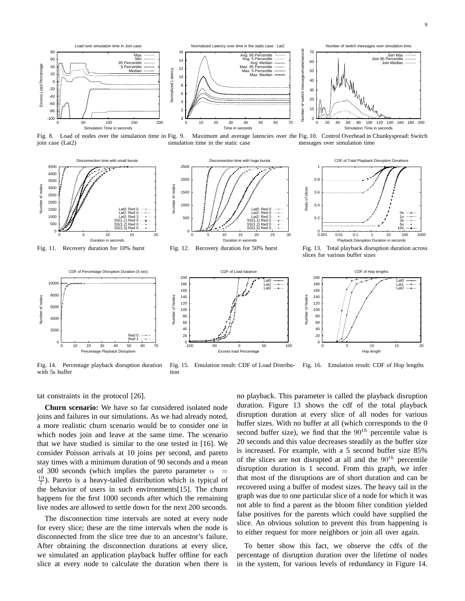

Fig. 8. Load of nodes over the simulation time in Fig. 9. join case (Lat2) simulation time in the static case



Fig. 11. Recovery duration for 10% burst







messages over simulation time

Fig. 13. Total playback disruption duration across slices for various buffer sizes

CDF of Hop lengths

Lat0 Lat1 Lat2

0 5 10 15 20

Hop length



Fig. 14. Percentage playback disruption duration with 5s buffer



Fig. 15. Emulation result: CDF of Load Distribution Fig. 16. Emulation result: CDF of Hop lengths

Number of Nodes

Number of Nodes

tat constraints in the protocol [26].

**Churn scenario:** We have so far considered isolated node joins and failures in our simulations. As we had already noted, a more realistic churn scenario would be to consider one in which nodes join and leave at the same time. The scenario that we have studied is similar to the one tested in [16]. We consider Poisson arrivals at 10 joins per second, and pareto stay times with a minimum duration of 90 seconds and a mean of 300 seconds (which implies the pareto parameter  $\alpha$  =  $\frac{10}{7}$ ). Pareto is a heavy-tailed distribution which is typical of the behavior of users in such environments[15]. The churn happens for the first 1000 seconds after which the remaining live nodes are allowed to settle down for the next 200 seconds.

The disconnection time intervals are noted at every node for every slice; these are the time intervals when the node is disconnected from the slice tree due to an ancestor's failure. After obtaining the disconnection durations at every slice, we simulated an application playback buffer offline for each slice at every node to calculate the duration when there is

no playback. This parameter is called the playback disruption duration. Figure 13 shows the cdf of the total playback disruption duration at every slice of all nodes for various buffer sizes. With no buffer at all (which corresponds to the 0 second buffer size), we find that the  $90<sup>th</sup>$  percentile value is 20 seconds and this value decreases steadily as the buffer size is increased. For example, with a 5 second buffer size 85% of the slices are not disrupted at all and the  $90<sup>th</sup>$  percentile disruption duration is 1 second. From this graph, we infer that most of the disruptions are of short duration and can be recovered using a buffer of modest sizes. The heavy tail in the graph was due to one particular slice of a node for which it was not able to find a parent as the bloom filter condition yielded false positives for the parents which could have supplied the slice. An obvious solution to prevent this from happening is to either request for more neighbors or join all over again.

To better show this fact, we observe the cdfs of the percentage of disruption duration over the lifetime of nodes in the system, for various levels of redundancy in Figure 14.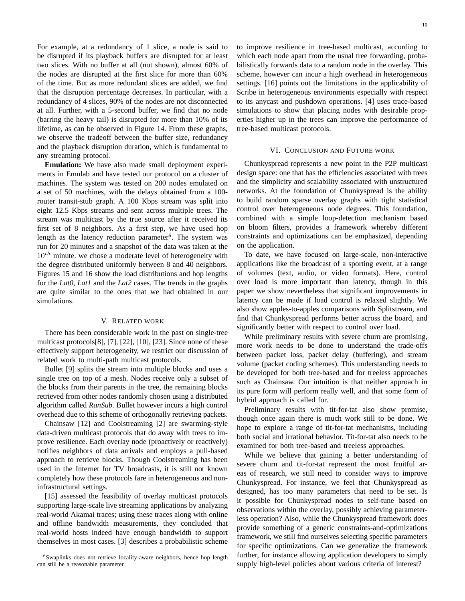For example, at a redundancy of 1 slice, a node is said to be disrupted if its playback buffers are disrupted for at least two slices. With no buffer at all (not shown), almost 60% of the nodes are disrupted at the first slice for more than 60% of the time. But as more redundant slices are added, we find that the disruption percentage decreases. In particular, with a redundancy of 4 slices, 90% of the nodes are not disconnected at all. Further, with a 5-second buffer, we find that no node (barring the heavy tail) is disrupted for more than 10% of its lifetime, as can be observed in Figure 14. From these graphs, we observe the tradeoff between the buffer size, redundancy and the playback disruption duration, which is fundamental to any streaming protocol.

**Emulation:** We have also made small deployment experiments in Emulab and have tested our protocol on a cluster of machines. The system was tested on 200 nodes emulated on a set of 50 machines, with the delays obtained from a 100 router transit-stub graph. A 100 Kbps stream was split into eight 12.5 Kbps streams and sent across multiple trees. The stream was multicast by the true source after it received its first set of 8 neighbors. As a first step, we have used hop length as the latency reduction parameter<sup>6</sup>. The system was run for 20 minutes and a snapshot of the data was taken at the  $10^{th}$  minute. we chose a moderate level of heterogeneity with the degree distributed uniformly between 8 and 40 neighbors. Figures 15 and 16 show the load distributions and hop lengths for the *Lat0*, *Lat1* and the *Lat2* cases. The trends in the graphs are quite similar to the ones that we had obtained in our simulations.

## V. RELATED WORK

There has been considerable work in the past on single-tree multicast protocols[8], [7], [22], [10], [23]. Since none of these effectively support heterogeneity, we restrict our discussion of related work to multi-path multicast protocols.

Bullet [9] splits the stream into multiple blocks and uses a single tree on top of a mesh. Nodes receive only a subset of the blocks from their parents in the tree, the remaining blocks retrieved from other nodes randomly chosen using a distributed algorithm called *RanSub*. Bullet however incurs a high control overhead due to this scheme of orthogonally retrieving packets.

Chainsaw [12] and Coolstreaming [2] are swarming-style data-driven multicast protocols that do away with trees to improve resilience. Each overlay node (proactively or reactively) notifies neighbors of data arrivals and employs a pull-based approach to retrieve blocks. Though Coolstreaming has been used in the Internet for TV broadcasts, it is still not known completely how these protocols fare in heterogeneous and noninfrastructural settings.

[15] assessed the feasibility of overlay multicast protocols supporting large-scale live streaming applications by analyzing real-world Akamai traces; using these traces along with online and offline bandwidth measurements, they concluded that real-world hosts indeed have enough bandwidth to support themselves in most cases. [3] describes a probabilistic scheme

<sup>6</sup>Swaplinks does not retrieve locality-aware neighbors, hence hop length can still be a reasonable parameter.

to improve resilience in tree-based multicast, according to which each node apart from the usual tree forwarding, probabilistically forwards data to a random node in the overlay. This scheme, however can incur a high overhead in heterogeneous settings. [16] points out the limitations in the applicability of Scribe in heterogeneous environments especially with respect to its anycast and pushdown operations. [4] uses trace-based simulations to show that placing nodes with desirable properties higher up in the trees can improve the performance of tree-based multicast protocols.

## VI. CONCLUSION AND FUTURE WORK

Chunkyspread represents a new point in the P2P multicast design space: one that has the efficiencies associated with trees and the simplicity and scalability associated with unstructured networks. At the foundation of Chunkyspread is the ability to build random sparse overlay graphs with tight statistical control over heterogeneous node degrees. This foundation, combined with a simple loop-detection mechanism based on bloom filters, provides a framework whereby different constraints and optimizations can be emphasized, depending on the application.

To date, we have focused on large-scale, non-interactive applications like the broadcast of a sporting event, at a range of volumes (text, audio, or video formats). Here, control over load is more important than latency, though in this paper we show nevertheless that significant improvements in latency can be made if load control is relaxed slightly. We also show apples-to-apples comparisons with Splitstream, and find that Chunkyspread performs better across the board, and significantly better with respect to control over load.

While preliminary results with severe churn are promising, more work needs to be done to understand the trade-offs between packet loss, packet delay (buffering), and stream volume (packet coding schemes). This understanding needs to be developed for both tree-based and for treeless approaches such as Chainsaw. Our intuition is that neither approach in its pure form will perform really well, and that some form of hybrid approach is called for.

Preliminary results with tit-for-tat also show promise, though once again there is much work still to be done. We hope to explore a range of tit-for-tat mechanisms, including both social and irrational behavior. Tit-for-tat also needs to be examined for both tree-based and treeless approaches.

While we believe that gaining a better understanding of severe churn and tit-for-tat represent the most fruitful areas of research, we still need to consider ways to improve Chunkyspread. For instance, we feel that Chunkyspread as designed, has too many parameters that need to be set. Is it possible for Chunkyspread nodes to self-tune based on observations within the overlay, possibly achieving parameterless operation? Also, while the Chunkyspread framework does provide something of a generic constraints-and-optimizations framework, we still find ourselves selecting specific parameters for specific optimizations. Can we generalize the framework further, for instance allowing application developers to simply supply high-level policies about various criteria of interest?